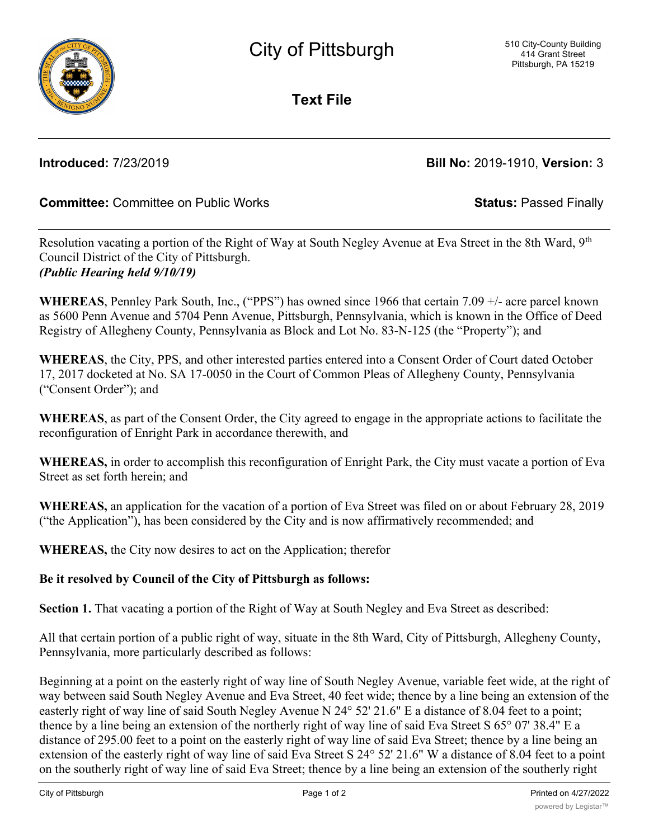

**Text File**

# **Introduced:** 7/23/2019 **Bill No:** 2019-1910, **Version:** 3

## **Committee:** Committee on Public Works **Status:** Passed Finally

Resolution vacating a portion of the Right of Way at South Negley Avenue at Eva Street in the 8th Ward, 9<sup>th</sup> Council District of the City of Pittsburgh. *(Public Hearing held 9/10/19)*

**WHEREAS**, Pennley Park South, Inc., ("PPS") has owned since 1966 that certain 7.09 +/- acre parcel known as 5600 Penn Avenue and 5704 Penn Avenue, Pittsburgh, Pennsylvania, which is known in the Office of Deed Registry of Allegheny County, Pennsylvania as Block and Lot No. 83-N-125 (the "Property"); and

**WHEREAS**, the City, PPS, and other interested parties entered into a Consent Order of Court dated October 17, 2017 docketed at No. SA 17-0050 in the Court of Common Pleas of Allegheny County, Pennsylvania ("Consent Order"); and

**WHEREAS**, as part of the Consent Order, the City agreed to engage in the appropriate actions to facilitate the reconfiguration of Enright Park in accordance therewith, and

**WHEREAS,** in order to accomplish this reconfiguration of Enright Park, the City must vacate a portion of Eva Street as set forth herein; and

**WHEREAS,** an application for the vacation of a portion of Eva Street was filed on or about February 28, 2019 ("the Application"), has been considered by the City and is now affirmatively recommended; and

**WHEREAS,** the City now desires to act on the Application; therefor

### **Be it resolved by Council of the City of Pittsburgh as follows:**

**Section 1.** That vacating a portion of the Right of Way at South Negley and Eva Street as described:

All that certain portion of a public right of way, situate in the 8th Ward, City of Pittsburgh, Allegheny County, Pennsylvania, more particularly described as follows:

Beginning at a point on the easterly right of way line of South Negley Avenue, variable feet wide, at the right of way between said South Negley Avenue and Eva Street, 40 feet wide; thence by a line being an extension of the easterly right of way line of said South Negley Avenue N 24° 52' 21.6" E a distance of 8.04 feet to a point; thence by a line being an extension of the northerly right of way line of said Eva Street S 65° 07' 38.4" E a distance of 295.00 feet to a point on the easterly right of way line of said Eva Street; thence by a line being an extension of the easterly right of way line of said Eva Street S 24° 52' 21.6" W a distance of 8.04 feet to a point on the southerly right of way line of said Eva Street; thence by a line being an extension of the southerly right